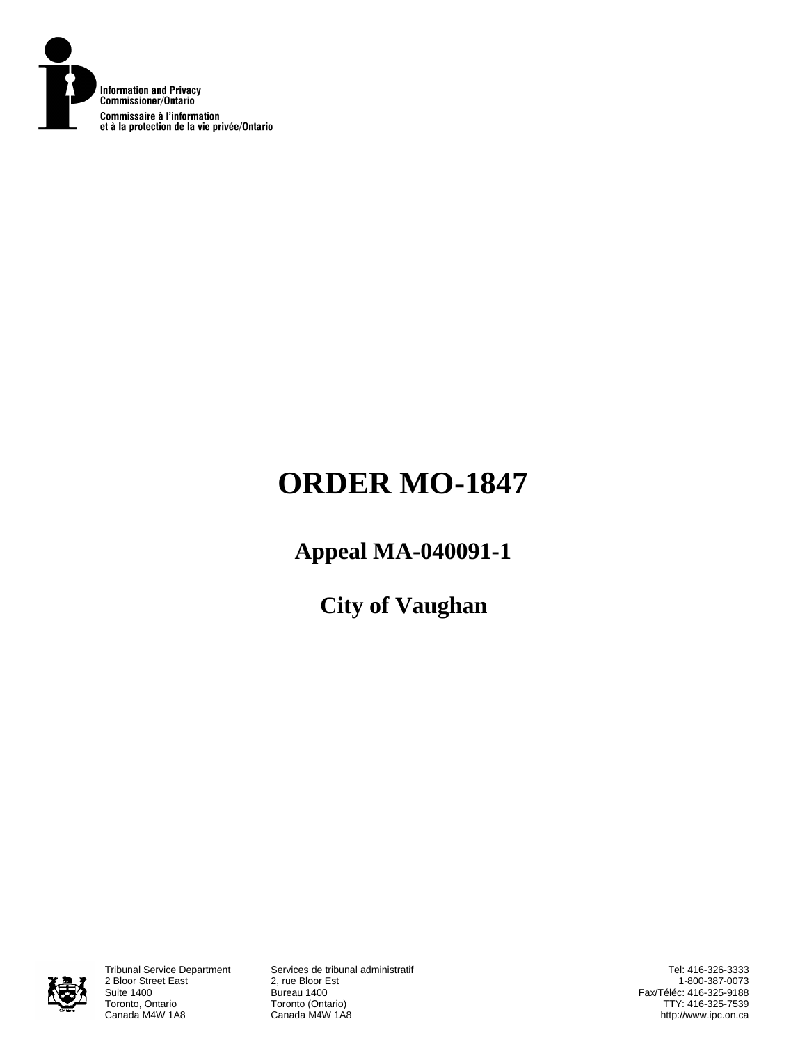

# **ORDER MO-1847**

# **Appeal MA-040091-1**

**City of Vaughan** 



2 Bloor Street East<br>Suite 1400 Suite 1400 Bureau 1400 Toronto, Ontario **Toronto (Ontario)**<br>Canada M4W 1A8 **Canada M4W 1A8** 

Tribunal Service Department Services de tribunal administratif Canada M4W 1A8

Tel: 416-326-3333 1-800-387-0073 Fax/Téléc: 416-325-9188 TTY: 416-325-7539 http://www.ipc.on.ca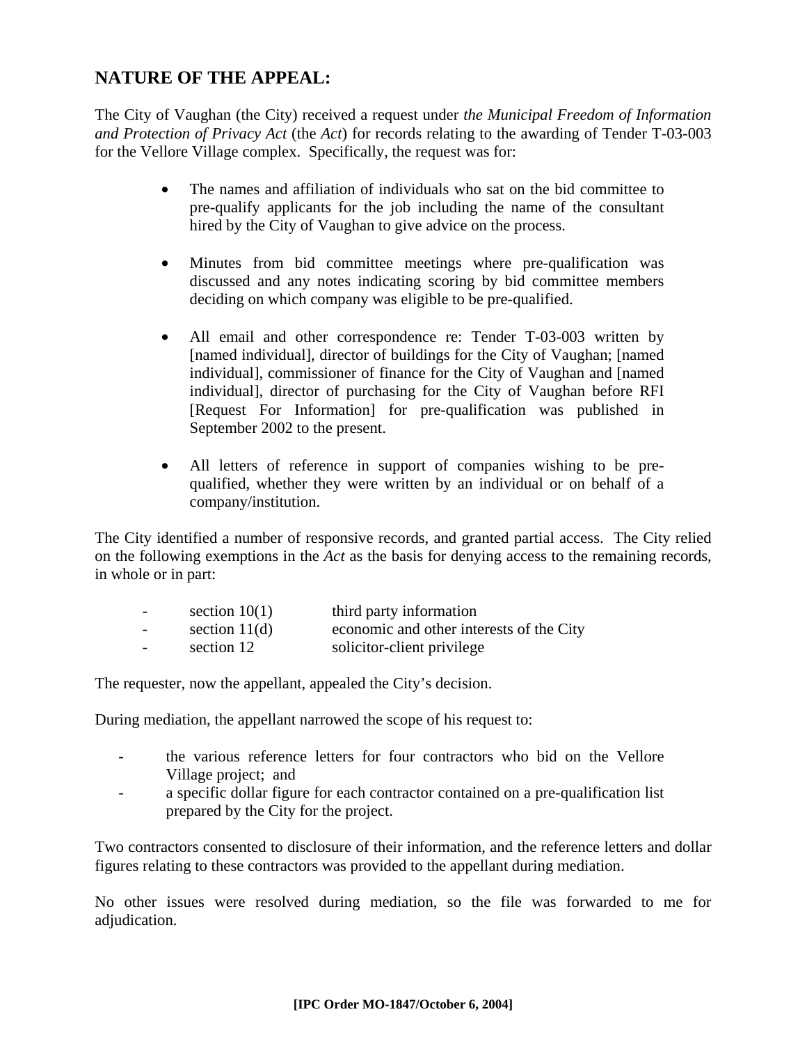# **NATURE OF THE APPEAL:**

The City of Vaughan (the City) received a request under *the Municipal Freedom of Information and Protection of Privacy Act* (the *Act*) for records relating to the awarding of Tender T-03-003 for the Vellore Village complex. Specifically, the request was for:

- The names and affiliation of individuals who sat on the bid committee to pre-qualify applicants for the job including the name of the consultant hired by the City of Vaughan to give advice on the process.
- Minutes from bid committee meetings where pre-qualification was discussed and any notes indicating scoring by bid committee members deciding on which company was eligible to be pre-qualified.
- All email and other correspondence re: Tender T-03-003 written by [named individual], director of buildings for the City of Vaughan; [named individual], commissioner of finance for the City of Vaughan and [named individual], director of purchasing for the City of Vaughan before RFI [Request For Information] for pre-qualification was published in September 2002 to the present.
- All letters of reference in support of companies wishing to be prequalified, whether they were written by an individual or on behalf of a company/institution.

The City identified a number of responsive records, and granted partial access. The City relied on the following exemptions in the *Act* as the basis for denying access to the remaining records, in whole or in part:

| $\overline{\phantom{0}}$ | section $10(1)$ | third party information                  |
|--------------------------|-----------------|------------------------------------------|
| $\overline{\phantom{0}}$ | section $11(d)$ | economic and other interests of the City |
| $\sim$                   | section 12      | solicitor-client privilege               |

The requester, now the appellant, appealed the City's decision.

During mediation, the appellant narrowed the scope of his request to:

- the various reference letters for four contractors who bid on the Vellore Village project; and
- a specific dollar figure for each contractor contained on a pre-qualification list prepared by the City for the project.

Two contractors consented to disclosure of their information, and the reference letters and dollar figures relating to these contractors was provided to the appellant during mediation.

No other issues were resolved during mediation, so the file was forwarded to me for adjudication.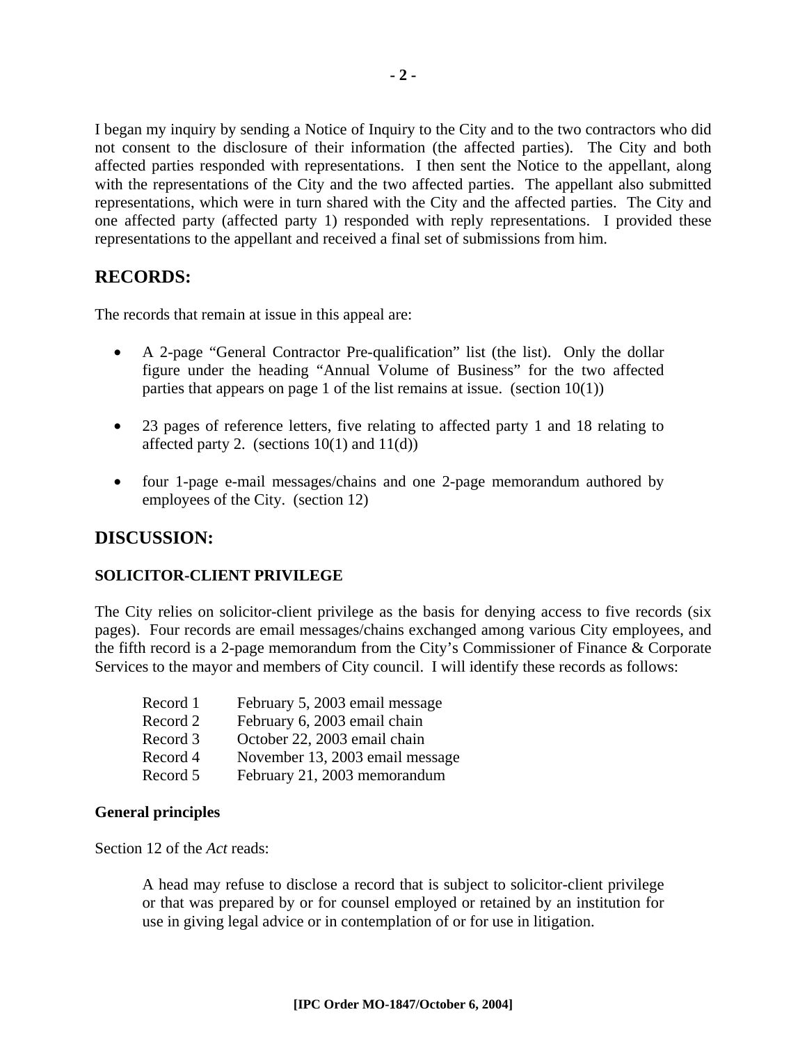I began my inquiry by sending a Notice of Inquiry to the City and to the two contractors who did not consent to the disclosure of their information (the affected parties). The City and both affected parties responded with representations. I then sent the Notice to the appellant, along with the representations of the City and the two affected parties. The appellant also submitted representations, which were in turn shared with the City and the affected parties. The City and one affected party (affected party 1) responded with reply representations. I provided these representations to the appellant and received a final set of submissions from him.

### **RECORDS:**

The records that remain at issue in this appeal are:

- A 2-page "General Contractor Pre-qualification" list (the list). Only the dollar figure under the heading "Annual Volume of Business" for the two affected parties that appears on page 1 of the list remains at issue. (section  $10(1)$ )
- 23 pages of reference letters, five relating to affected party 1 and 18 relating to affected party 2. (sections  $10(1)$  and  $11(d)$ )
- four 1-page e-mail messages/chains and one 2-page memorandum authored by employees of the City. (section 12)

## **DISCUSSION:**

#### **SOLICITOR-CLIENT PRIVILEGE**

The City relies on solicitor-client privilege as the basis for denying access to five records (six pages). Four records are email messages/chains exchanged among various City employees, and the fifth record is a 2-page memorandum from the City's Commissioner of Finance & Corporate Services to the mayor and members of City council. I will identify these records as follows:

| Record 1 | February 5, 2003 email message  |
|----------|---------------------------------|
| Record 2 | February 6, 2003 email chain    |
| Record 3 | October 22, 2003 email chain    |
| Record 4 | November 13, 2003 email message |
| Record 5 | February 21, 2003 memorandum    |

#### **General principles**

Section 12 of the *Act* reads:

A head may refuse to disclose a record that is subject to solicitor-client privilege or that was prepared by or for counsel employed or retained by an institution for use in giving legal advice or in contemplation of or for use in litigation.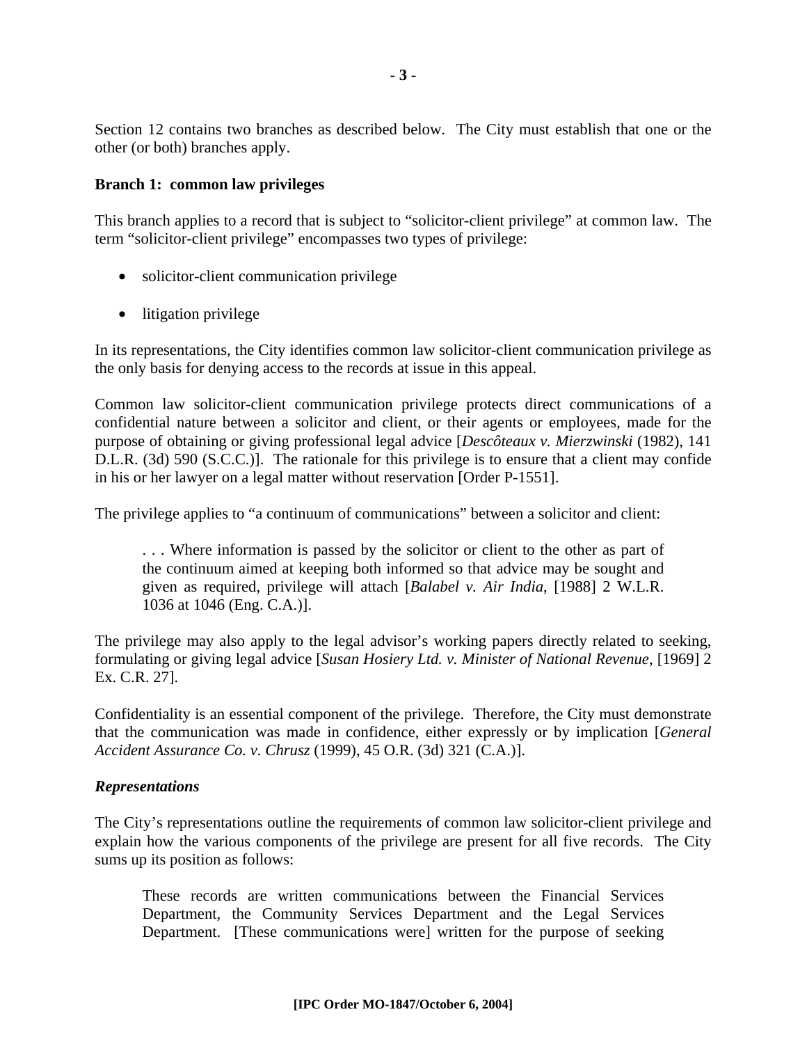Section 12 contains two branches as described below. The City must establish that one or the other (or both) branches apply.

#### **Branch 1: common law privileges**

This branch applies to a record that is subject to "solicitor-client privilege" at common law. The term "solicitor-client privilege" encompasses two types of privilege:

- solicitor-client communication privilege
- litigation privilege

In its representations, the City identifies common law solicitor-client communication privilege as the only basis for denying access to the records at issue in this appeal.

Common law solicitor-client communication privilege protects direct communications of a confidential nature between a solicitor and client, or their agents or employees, made for the purpose of obtaining or giving professional legal advice [*Descôteaux v. Mierzwinski* (1982), 141 D.L.R. (3d) 590 (S.C.C.)]. The rationale for this privilege is to ensure that a client may confide in his or her lawyer on a legal matter without reservation [Order P-1551].

The privilege applies to "a continuum of communications" between a solicitor and client:

. . . Where information is passed by the solicitor or client to the other as part of the continuum aimed at keeping both informed so that advice may be sought and given as required, privilege will attach [*Balabel v. Air India*, [1988] 2 W.L.R. 1036 at 1046 (Eng. C.A.)].

The privilege may also apply to the legal advisor's working papers directly related to seeking, formulating or giving legal advice [*Susan Hosiery Ltd. v. Minister of National Revenue*, [1969] 2 Ex. C.R. 27].

Confidentiality is an essential component of the privilege. Therefore, the City must demonstrate that the communication was made in confidence, either expressly or by implication [*General Accident Assurance Co. v. Chrusz* (1999), 45 O.R. (3d) 321 (C.A.)].

#### *Representations*

The City's representations outline the requirements of common law solicitor-client privilege and explain how the various components of the privilege are present for all five records. The City sums up its position as follows:

These records are written communications between the Financial Services Department, the Community Services Department and the Legal Services Department. [These communications were] written for the purpose of seeking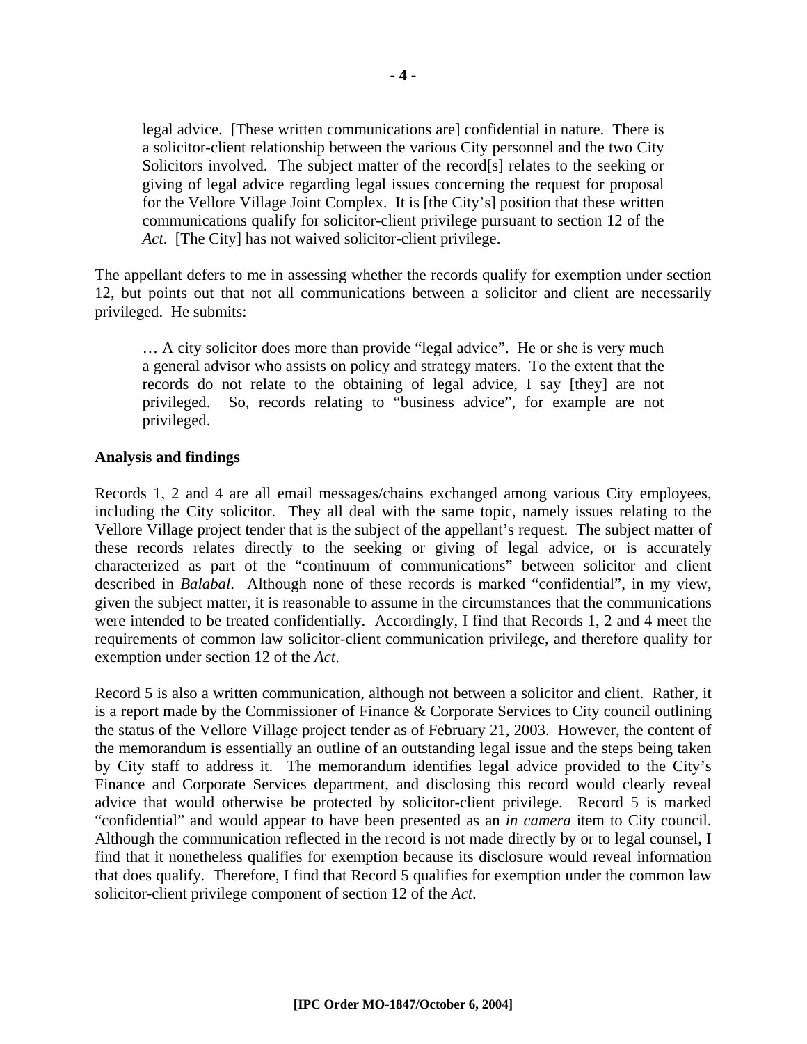legal advice. [These written communications are] confidential in nature. There is a solicitor-client relationship between the various City personnel and the two City Solicitors involved. The subject matter of the record[s] relates to the seeking or giving of legal advice regarding legal issues concerning the request for proposal for the Vellore Village Joint Complex. It is [the City's] position that these written communications qualify for solicitor-client privilege pursuant to section 12 of the *Act*. [The City] has not waived solicitor-client privilege.

The appellant defers to me in assessing whether the records qualify for exemption under section 12, but points out that not all communications between a solicitor and client are necessarily privileged. He submits:

… A city solicitor does more than provide "legal advice". He or she is very much a general advisor who assists on policy and strategy maters. To the extent that the records do not relate to the obtaining of legal advice, I say [they] are not privileged. So, records relating to "business advice", for example are not privileged.

#### **Analysis and findings**

Records 1, 2 and 4 are all email messages/chains exchanged among various City employees, including the City solicitor. They all deal with the same topic, namely issues relating to the Vellore Village project tender that is the subject of the appellant's request. The subject matter of these records relates directly to the seeking or giving of legal advice, or is accurately characterized as part of the "continuum of communications" between solicitor and client described in *Balabal*. Although none of these records is marked "confidential", in my view, given the subject matter, it is reasonable to assume in the circumstances that the communications were intended to be treated confidentially. Accordingly, I find that Records 1, 2 and 4 meet the requirements of common law solicitor-client communication privilege, and therefore qualify for exemption under section 12 of the *Act*.

Record 5 is also a written communication, although not between a solicitor and client. Rather, it is a report made by the Commissioner of Finance & Corporate Services to City council outlining the status of the Vellore Village project tender as of February 21, 2003. However, the content of the memorandum is essentially an outline of an outstanding legal issue and the steps being taken by City staff to address it. The memorandum identifies legal advice provided to the City's Finance and Corporate Services department, and disclosing this record would clearly reveal advice that would otherwise be protected by solicitor-client privilege. Record 5 is marked "confidential" and would appear to have been presented as an *in camera* item to City council. Although the communication reflected in the record is not made directly by or to legal counsel, I find that it nonetheless qualifies for exemption because its disclosure would reveal information that does qualify. Therefore, I find that Record 5 qualifies for exemption under the common law solicitor-client privilege component of section 12 of the *Act*.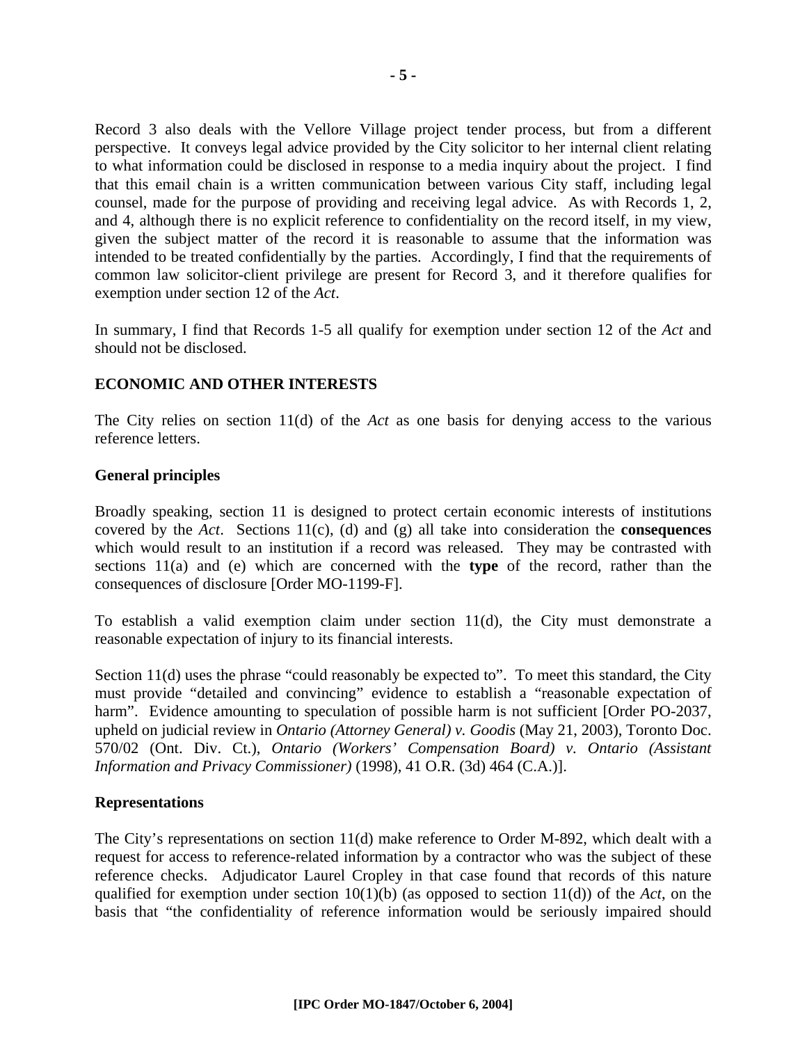Record 3 also deals with the Vellore Village project tender process, but from a different perspective. It conveys legal advice provided by the City solicitor to her internal client relating to what information could be disclosed in response to a media inquiry about the project. I find that this email chain is a written communication between various City staff, including legal counsel, made for the purpose of providing and receiving legal advice. As with Records 1, 2, and 4, although there is no explicit reference to confidentiality on the record itself, in my view, given the subject matter of the record it is reasonable to assume that the information was intended to be treated confidentially by the parties. Accordingly, I find that the requirements of common law solicitor-client privilege are present for Record 3, and it therefore qualifies for exemption under section 12 of the *Act*.

In summary, I find that Records 1-5 all qualify for exemption under section 12 of the *Act* and should not be disclosed.

#### **ECONOMIC AND OTHER INTERESTS**

The City relies on section 11(d) of the *Act* as one basis for denying access to the various reference letters.

#### **General principles**

Broadly speaking, section 11 is designed to protect certain economic interests of institutions covered by the *Act*. Sections 11(c), (d) and (g) all take into consideration the **consequences** which would result to an institution if a record was released. They may be contrasted with sections 11(a) and (e) which are concerned with the **type** of the record, rather than the consequences of disclosure [Order MO-1199-F].

To establish a valid exemption claim under section 11(d), the City must demonstrate a reasonable expectation of injury to its financial interests.

Section 11(d) uses the phrase "could reasonably be expected to". To meet this standard, the City must provide "detailed and convincing" evidence to establish a "reasonable expectation of harm". Evidence amounting to speculation of possible harm is not sufficient [Order PO-2037, upheld on judicial review in *Ontario (Attorney General) v. Goodis* (May 21, 2003), Toronto Doc. 570/02 (Ont. Div. Ct.), *Ontario (Workers' Compensation Board) v. Ontario (Assistant Information and Privacy Commissioner)* (1998), 41 O.R. (3d) 464 (C.A.)].

#### **Representations**

The City's representations on section 11(d) make reference to Order M-892, which dealt with a request for access to reference-related information by a contractor who was the subject of these reference checks. Adjudicator Laurel Cropley in that case found that records of this nature qualified for exemption under section 10(1)(b) (as opposed to section 11(d)) of the *Act*, on the basis that "the confidentiality of reference information would be seriously impaired should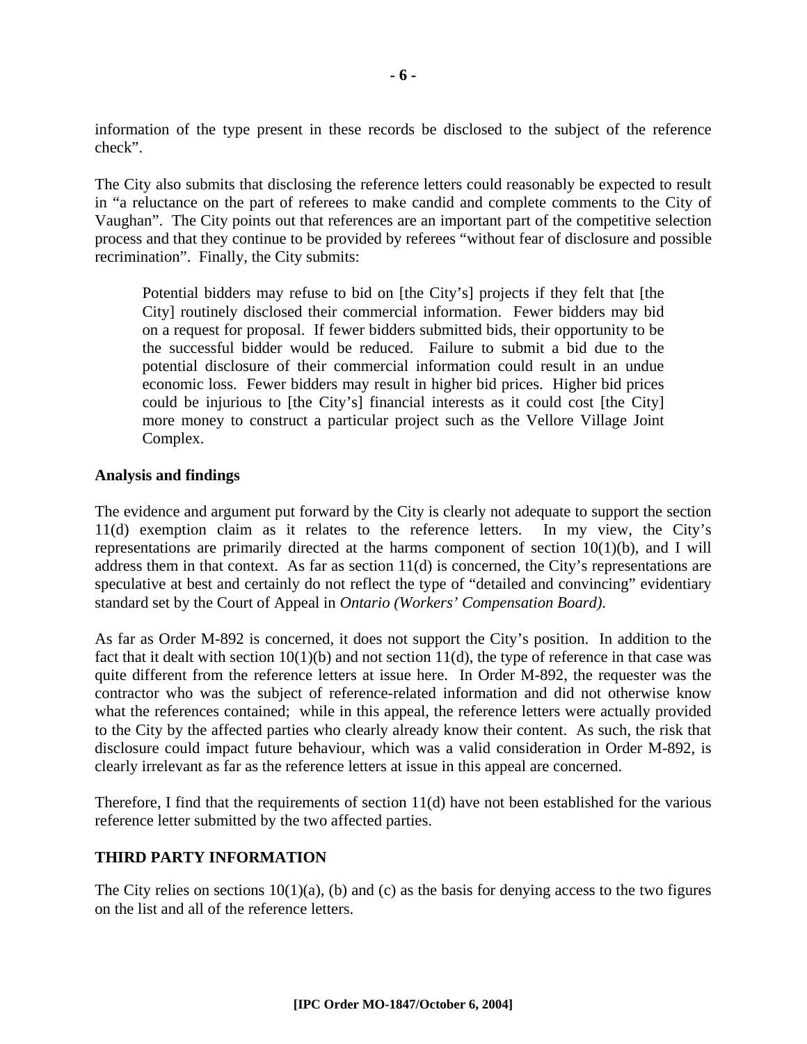information of the type present in these records be disclosed to the subject of the reference check".

The City also submits that disclosing the reference letters could reasonably be expected to result in "a reluctance on the part of referees to make candid and complete comments to the City of Vaughan". The City points out that references are an important part of the competitive selection process and that they continue to be provided by referees "without fear of disclosure and possible recrimination". Finally, the City submits:

Potential bidders may refuse to bid on [the City's] projects if they felt that [the City] routinely disclosed their commercial information. Fewer bidders may bid on a request for proposal. If fewer bidders submitted bids, their opportunity to be the successful bidder would be reduced. Failure to submit a bid due to the potential disclosure of their commercial information could result in an undue economic loss. Fewer bidders may result in higher bid prices. Higher bid prices could be injurious to [the City's] financial interests as it could cost [the City] more money to construct a particular project such as the Vellore Village Joint Complex.

#### **Analysis and findings**

The evidence and argument put forward by the City is clearly not adequate to support the section 11(d) exemption claim as it relates to the reference letters. In my view, the City's representations are primarily directed at the harms component of section 10(1)(b), and I will address them in that context. As far as section 11(d) is concerned, the City's representations are speculative at best and certainly do not reflect the type of "detailed and convincing" evidentiary standard set by the Court of Appeal in *Ontario (Workers' Compensation Board)*.

As far as Order M-892 is concerned, it does not support the City's position. In addition to the fact that it dealt with section 10(1)(b) and not section 11(d), the type of reference in that case was quite different from the reference letters at issue here. In Order M-892, the requester was the contractor who was the subject of reference-related information and did not otherwise know what the references contained; while in this appeal, the reference letters were actually provided to the City by the affected parties who clearly already know their content. As such, the risk that disclosure could impact future behaviour, which was a valid consideration in Order M-892, is clearly irrelevant as far as the reference letters at issue in this appeal are concerned.

Therefore, I find that the requirements of section 11(d) have not been established for the various reference letter submitted by the two affected parties.

#### **THIRD PARTY INFORMATION**

The City relies on sections  $10(1)(a)$ , (b) and (c) as the basis for denying access to the two figures on the list and all of the reference letters.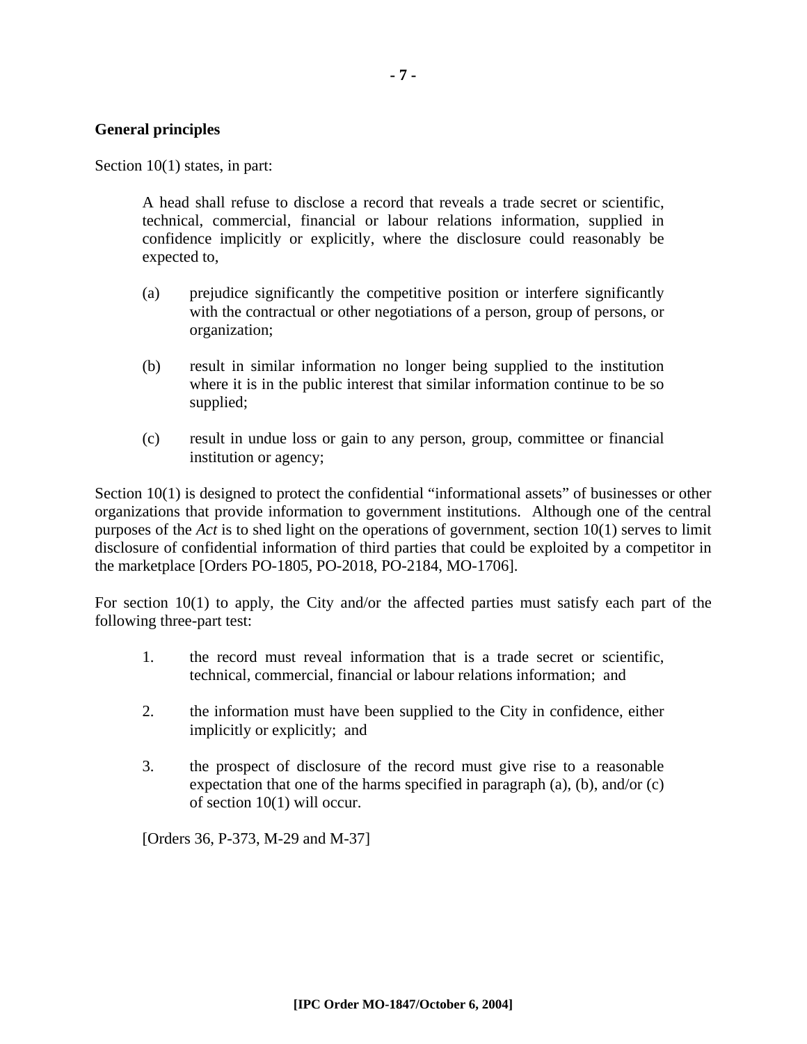#### **General principles**

Section 10(1) states, in part:

A head shall refuse to disclose a record that reveals a trade secret or scientific, technical, commercial, financial or labour relations information, supplied in confidence implicitly or explicitly, where the disclosure could reasonably be expected to,

- (a) prejudice significantly the competitive position or interfere significantly with the contractual or other negotiations of a person, group of persons, or organization;
- (b) result in similar information no longer being supplied to the institution where it is in the public interest that similar information continue to be so supplied;
- (c) result in undue loss or gain to any person, group, committee or financial institution or agency;

Section 10(1) is designed to protect the confidential "informational assets" of businesses or other organizations that provide information to government institutions. Although one of the central purposes of the *Act* is to shed light on the operations of government, section 10(1) serves to limit disclosure of confidential information of third parties that could be exploited by a competitor in the marketplace [Orders PO-1805, PO-2018, PO-2184, MO-1706].

For section 10(1) to apply, the City and/or the affected parties must satisfy each part of the following three-part test:

- 1. the record must reveal information that is a trade secret or scientific, technical, commercial, financial or labour relations information; and
- 2. the information must have been supplied to the City in confidence, either implicitly or explicitly; and
- 3. the prospect of disclosure of the record must give rise to a reasonable expectation that one of the harms specified in paragraph (a), (b), and/or (c) of section 10(1) will occur.

[Orders 36, P-373, M-29 and M-37]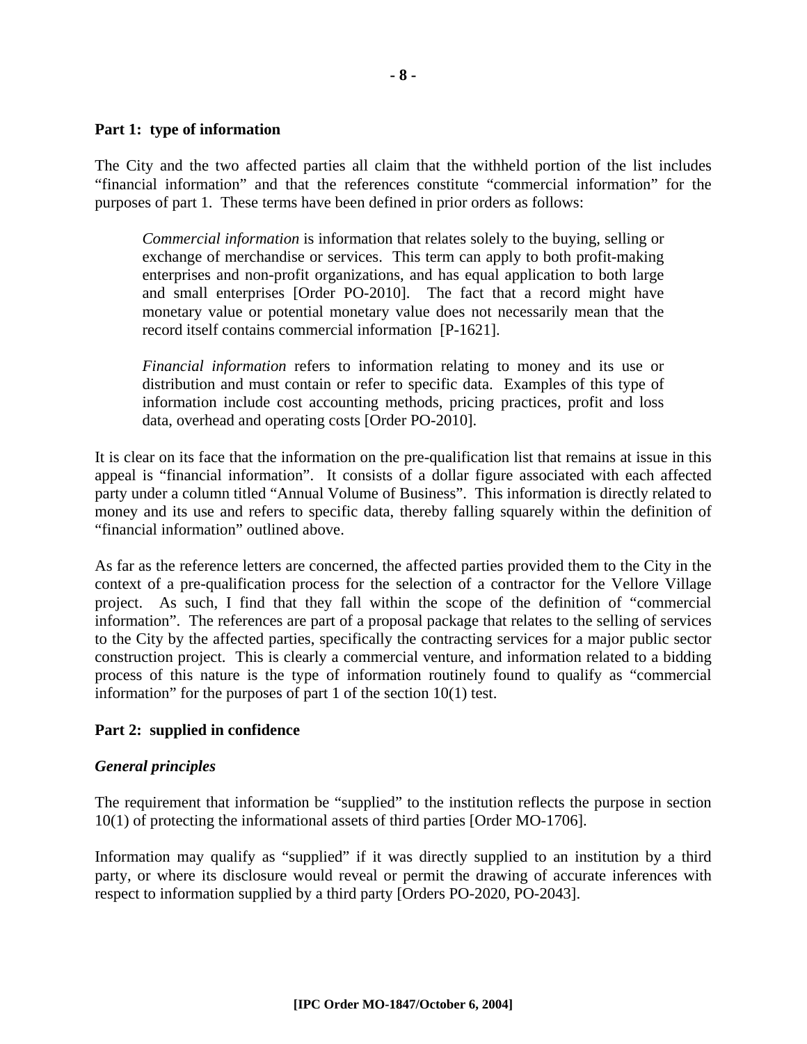#### **Part 1: type of information**

The City and the two affected parties all claim that the withheld portion of the list includes "financial information" and that the references constitute "commercial information" for the purposes of part 1. These terms have been defined in prior orders as follows:

*Commercial information* is information that relates solely to the buying, selling or exchange of merchandise or services. This term can apply to both profit-making enterprises and non-profit organizations, and has equal application to both large and small enterprises [Order PO-2010]. The fact that a record might have monetary value or potential monetary value does not necessarily mean that the record itself contains commercial information [P-1621].

*Financial information* refers to information relating to money and its use or distribution and must contain or refer to specific data. Examples of this type of information include cost accounting methods, pricing practices, profit and loss data, overhead and operating costs [Order PO-2010].

It is clear on its face that the information on the pre-qualification list that remains at issue in this appeal is "financial information". It consists of a dollar figure associated with each affected party under a column titled "Annual Volume of Business". This information is directly related to money and its use and refers to specific data, thereby falling squarely within the definition of "financial information" outlined above.

As far as the reference letters are concerned, the affected parties provided them to the City in the context of a pre-qualification process for the selection of a contractor for the Vellore Village project. As such, I find that they fall within the scope of the definition of "commercial information". The references are part of a proposal package that relates to the selling of services to the City by the affected parties, specifically the contracting services for a major public sector construction project. This is clearly a commercial venture, and information related to a bidding process of this nature is the type of information routinely found to qualify as "commercial information" for the purposes of part 1 of the section 10(1) test.

#### **Part 2: supplied in confidence**

#### *General principles*

The requirement that information be "supplied" to the institution reflects the purpose in section 10(1) of protecting the informational assets of third parties [Order MO-1706].

Information may qualify as "supplied" if it was directly supplied to an institution by a third party, or where its disclosure would reveal or permit the drawing of accurate inferences with respect to information supplied by a third party [Orders PO-2020, PO-2043].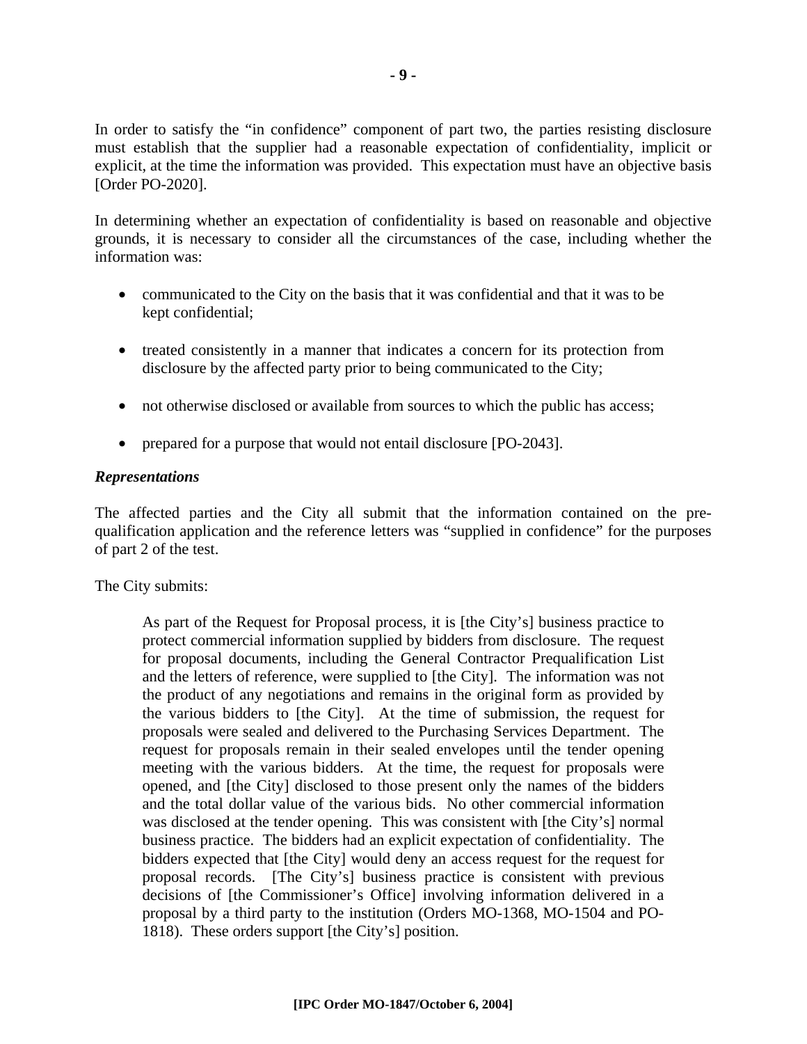In order to satisfy the "in confidence" component of part two, the parties resisting disclosure must establish that the supplier had a reasonable expectation of confidentiality, implicit or explicit, at the time the information was provided. This expectation must have an objective basis [Order PO-2020].

In determining whether an expectation of confidentiality is based on reasonable and objective grounds, it is necessary to consider all the circumstances of the case, including whether the information was:

- communicated to the City on the basis that it was confidential and that it was to be kept confidential;
- treated consistently in a manner that indicates a concern for its protection from disclosure by the affected party prior to being communicated to the City;
- not otherwise disclosed or available from sources to which the public has access;
- prepared for a purpose that would not entail disclosure [PO-2043].

#### *Representations*

The affected parties and the City all submit that the information contained on the prequalification application and the reference letters was "supplied in confidence" for the purposes of part 2 of the test.

The City submits:

As part of the Request for Proposal process, it is [the City's] business practice to protect commercial information supplied by bidders from disclosure. The request for proposal documents, including the General Contractor Prequalification List and the letters of reference, were supplied to [the City]. The information was not the product of any negotiations and remains in the original form as provided by the various bidders to [the City]. At the time of submission, the request for proposals were sealed and delivered to the Purchasing Services Department. The request for proposals remain in their sealed envelopes until the tender opening meeting with the various bidders. At the time, the request for proposals were opened, and [the City] disclosed to those present only the names of the bidders and the total dollar value of the various bids. No other commercial information was disclosed at the tender opening. This was consistent with [the City's] normal business practice. The bidders had an explicit expectation of confidentiality. The bidders expected that [the City] would deny an access request for the request for proposal records. [The City's] business practice is consistent with previous decisions of [the Commissioner's Office] involving information delivered in a proposal by a third party to the institution (Orders MO-1368, MO-1504 and PO-1818). These orders support [the City's] position.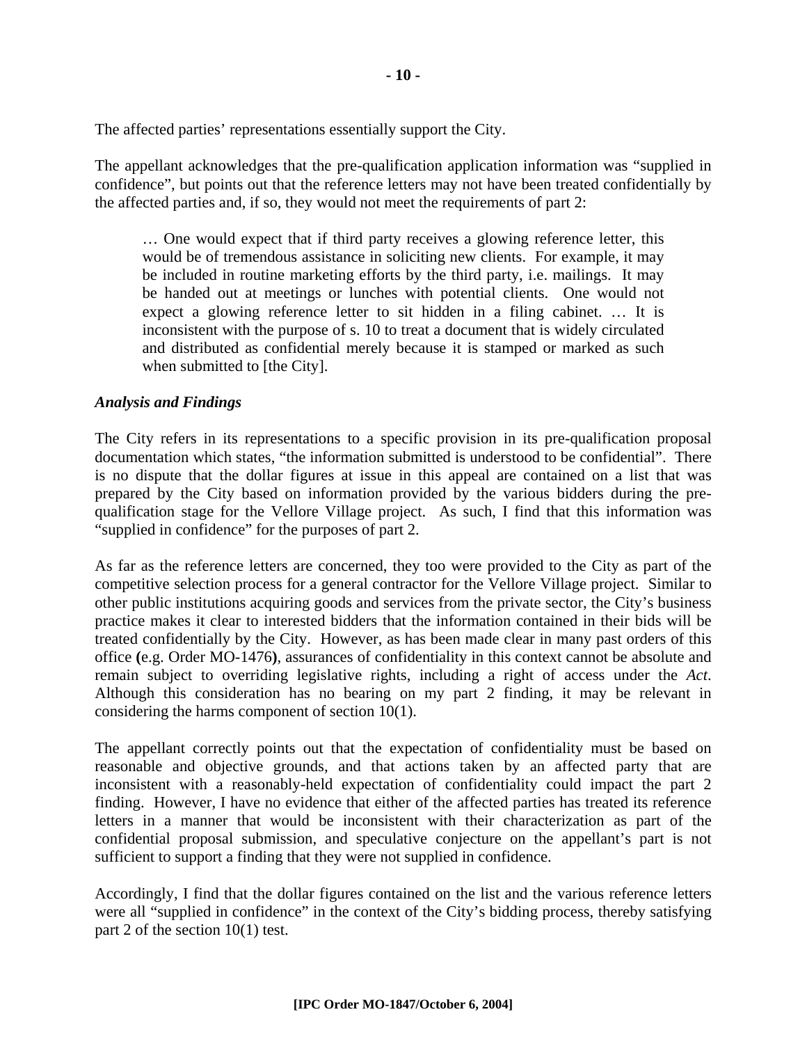The affected parties' representations essentially support the City.

The appellant acknowledges that the pre-qualification application information was "supplied in confidence", but points out that the reference letters may not have been treated confidentially by the affected parties and, if so, they would not meet the requirements of part 2:

… One would expect that if third party receives a glowing reference letter, this would be of tremendous assistance in soliciting new clients. For example, it may be included in routine marketing efforts by the third party, i.e. mailings. It may be handed out at meetings or lunches with potential clients. One would not expect a glowing reference letter to sit hidden in a filing cabinet. … It is inconsistent with the purpose of s. 10 to treat a document that is widely circulated and distributed as confidential merely because it is stamped or marked as such when submitted to [the City].

#### *Analysis and Findings*

The City refers in its representations to a specific provision in its pre-qualification proposal documentation which states, "the information submitted is understood to be confidential". There is no dispute that the dollar figures at issue in this appeal are contained on a list that was prepared by the City based on information provided by the various bidders during the prequalification stage for the Vellore Village project. As such, I find that this information was "supplied in confidence" for the purposes of part 2.

As far as the reference letters are concerned, they too were provided to the City as part of the competitive selection process for a general contractor for the Vellore Village project. Similar to other public institutions acquiring goods and services from the private sector, the City's business practice makes it clear to interested bidders that the information contained in their bids will be treated confidentially by the City. However, as has been made clear in many past orders of this office **(**e.g. Order MO-1476**)**, assurances of confidentiality in this context cannot be absolute and remain subject to overriding legislative rights, including a right of access under the *Act*. Although this consideration has no bearing on my part 2 finding, it may be relevant in considering the harms component of section 10(1).

The appellant correctly points out that the expectation of confidentiality must be based on reasonable and objective grounds, and that actions taken by an affected party that are inconsistent with a reasonably-held expectation of confidentiality could impact the part 2 finding. However, I have no evidence that either of the affected parties has treated its reference letters in a manner that would be inconsistent with their characterization as part of the confidential proposal submission, and speculative conjecture on the appellant's part is not sufficient to support a finding that they were not supplied in confidence.

Accordingly, I find that the dollar figures contained on the list and the various reference letters were all "supplied in confidence" in the context of the City's bidding process, thereby satisfying part 2 of the section 10(1) test.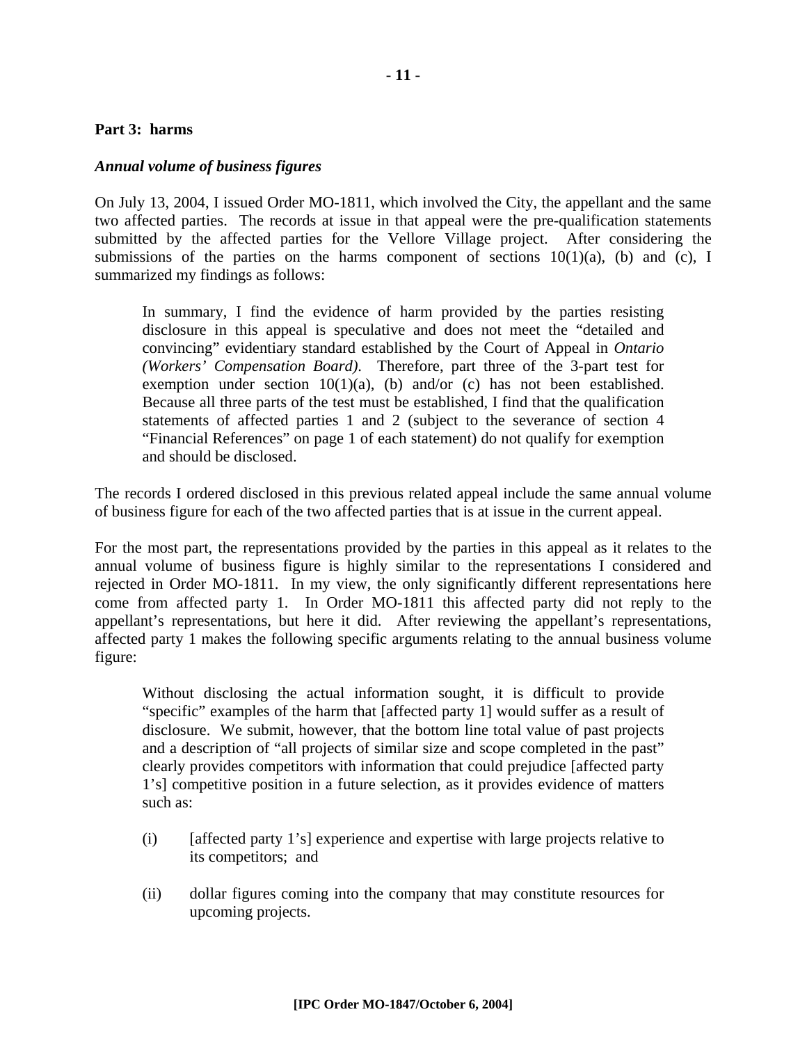#### **Part 3: harms**

#### *Annual volume of business figures*

On July 13, 2004, I issued Order MO-1811, which involved the City, the appellant and the same two affected parties. The records at issue in that appeal were the pre-qualification statements submitted by the affected parties for the Vellore Village project. After considering the submissions of the parties on the harms component of sections  $10(1)(a)$ , (b) and (c), I summarized my findings as follows:

In summary, I find the evidence of harm provided by the parties resisting disclosure in this appeal is speculative and does not meet the "detailed and convincing" evidentiary standard established by the Court of Appeal in *Ontario (Workers' Compensation Board)*. Therefore, part three of the 3-part test for exemption under section  $10(1)(a)$ , (b) and/or (c) has not been established. Because all three parts of the test must be established, I find that the qualification statements of affected parties 1 and 2 (subject to the severance of section 4 "Financial References" on page 1 of each statement) do not qualify for exemption and should be disclosed.

The records I ordered disclosed in this previous related appeal include the same annual volume of business figure for each of the two affected parties that is at issue in the current appeal.

For the most part, the representations provided by the parties in this appeal as it relates to the annual volume of business figure is highly similar to the representations I considered and rejected in Order MO-1811. In my view, the only significantly different representations here come from affected party 1. In Order MO-1811 this affected party did not reply to the appellant's representations, but here it did. After reviewing the appellant's representations, affected party 1 makes the following specific arguments relating to the annual business volume figure:

Without disclosing the actual information sought, it is difficult to provide "specific" examples of the harm that [affected party 1] would suffer as a result of disclosure. We submit, however, that the bottom line total value of past projects and a description of "all projects of similar size and scope completed in the past" clearly provides competitors with information that could prejudice [affected party 1's] competitive position in a future selection, as it provides evidence of matters such as:

- (i) [affected party 1's] experience and expertise with large projects relative to its competitors; and
- (ii) dollar figures coming into the company that may constitute resources for upcoming projects.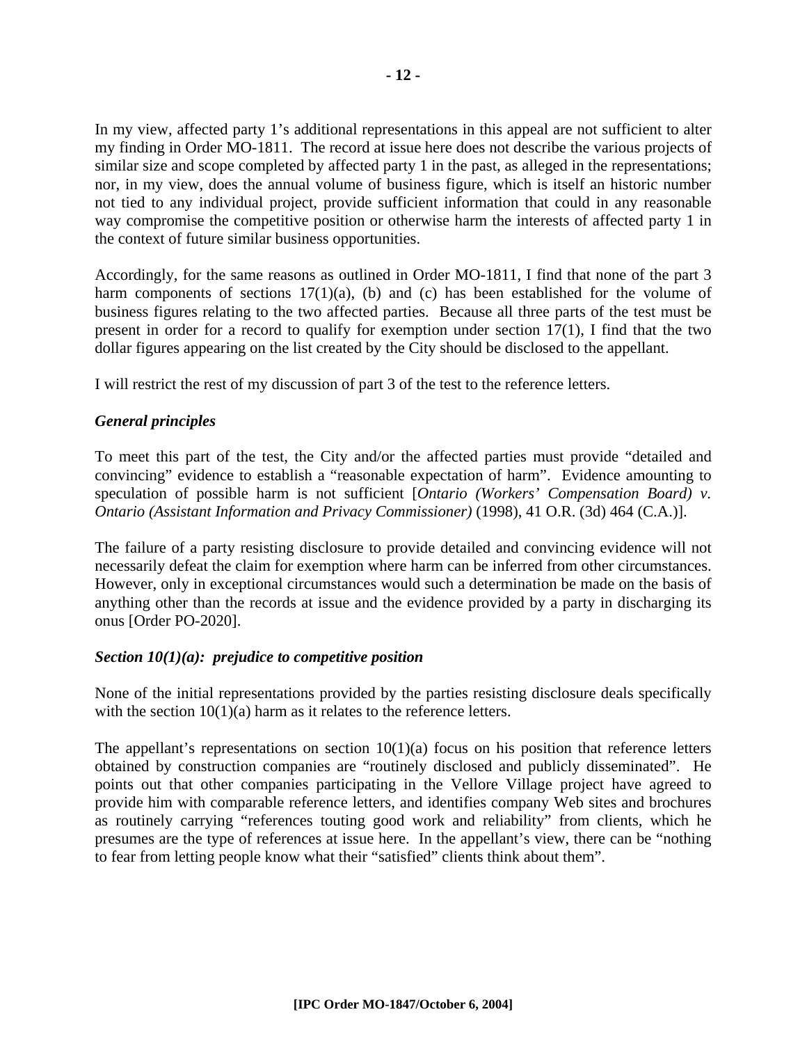In my view, affected party 1's additional representations in this appeal are not sufficient to alter my finding in Order MO-1811. The record at issue here does not describe the various projects of similar size and scope completed by affected party 1 in the past, as alleged in the representations; nor, in my view, does the annual volume of business figure, which is itself an historic number not tied to any individual project, provide sufficient information that could in any reasonable way compromise the competitive position or otherwise harm the interests of affected party 1 in the context of future similar business opportunities.

Accordingly, for the same reasons as outlined in Order MO-1811, I find that none of the part 3 harm components of sections  $17(1)(a)$ , (b) and (c) has been established for the volume of business figures relating to the two affected parties. Because all three parts of the test must be present in order for a record to qualify for exemption under section 17(1), I find that the two dollar figures appearing on the list created by the City should be disclosed to the appellant.

I will restrict the rest of my discussion of part 3 of the test to the reference letters.

#### *General principles*

To meet this part of the test, the City and/or the affected parties must provide "detailed and convincing" evidence to establish a "reasonable expectation of harm". Evidence amounting to speculation of possible harm is not sufficient [*Ontario (Workers' Compensation Board) v. Ontario (Assistant Information and Privacy Commissioner)* (1998), 41 O.R. (3d) 464 (C.A.)].

The failure of a party resisting disclosure to provide detailed and convincing evidence will not necessarily defeat the claim for exemption where harm can be inferred from other circumstances. However, only in exceptional circumstances would such a determination be made on the basis of anything other than the records at issue and the evidence provided by a party in discharging its onus [Order PO-2020].

#### *Section 10(1)(a): prejudice to competitive position*

None of the initial representations provided by the parties resisting disclosure deals specifically with the section  $10(1)(a)$  harm as it relates to the reference letters.

The appellant's representations on section  $10(1)(a)$  focus on his position that reference letters obtained by construction companies are "routinely disclosed and publicly disseminated". He points out that other companies participating in the Vellore Village project have agreed to provide him with comparable reference letters, and identifies company Web sites and brochures as routinely carrying "references touting good work and reliability" from clients, which he presumes are the type of references at issue here. In the appellant's view, there can be "nothing to fear from letting people know what their "satisfied" clients think about them".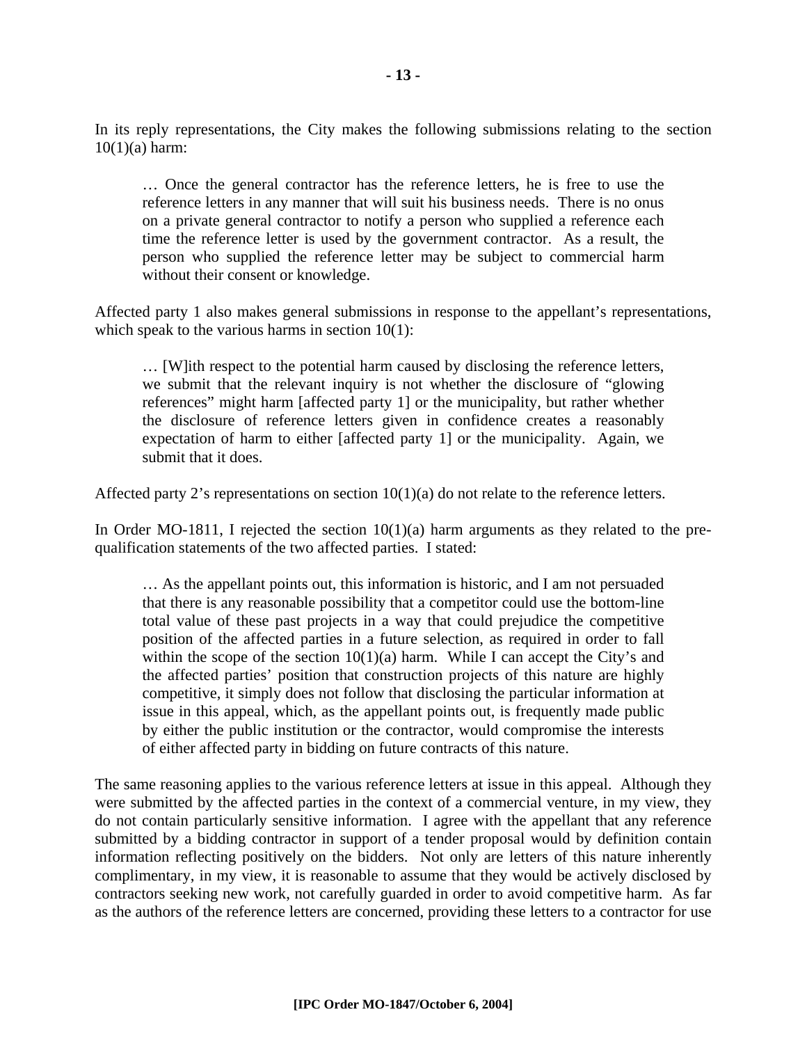In its reply representations, the City makes the following submissions relating to the section  $10(1)(a)$  harm:

… Once the general contractor has the reference letters, he is free to use the reference letters in any manner that will suit his business needs. There is no onus on a private general contractor to notify a person who supplied a reference each time the reference letter is used by the government contractor. As a result, the person who supplied the reference letter may be subject to commercial harm without their consent or knowledge.

Affected party 1 also makes general submissions in response to the appellant's representations, which speak to the various harms in section  $10(1)$ :

… [W]ith respect to the potential harm caused by disclosing the reference letters, we submit that the relevant inquiry is not whether the disclosure of "glowing references" might harm [affected party 1] or the municipality, but rather whether the disclosure of reference letters given in confidence creates a reasonably expectation of harm to either [affected party 1] or the municipality. Again, we submit that it does.

Affected party 2's representations on section  $10(1)(a)$  do not relate to the reference letters.

In Order MO-1811, I rejected the section  $10(1)(a)$  harm arguments as they related to the prequalification statements of the two affected parties. I stated:

… As the appellant points out, this information is historic, and I am not persuaded that there is any reasonable possibility that a competitor could use the bottom-line total value of these past projects in a way that could prejudice the competitive position of the affected parties in a future selection, as required in order to fall within the scope of the section  $10(1)(a)$  harm. While I can accept the City's and the affected parties' position that construction projects of this nature are highly competitive, it simply does not follow that disclosing the particular information at issue in this appeal, which, as the appellant points out, is frequently made public by either the public institution or the contractor, would compromise the interests of either affected party in bidding on future contracts of this nature.

The same reasoning applies to the various reference letters at issue in this appeal. Although they were submitted by the affected parties in the context of a commercial venture, in my view, they do not contain particularly sensitive information. I agree with the appellant that any reference submitted by a bidding contractor in support of a tender proposal would by definition contain information reflecting positively on the bidders. Not only are letters of this nature inherently complimentary, in my view, it is reasonable to assume that they would be actively disclosed by contractors seeking new work, not carefully guarded in order to avoid competitive harm. As far as the authors of the reference letters are concerned, providing these letters to a contractor for use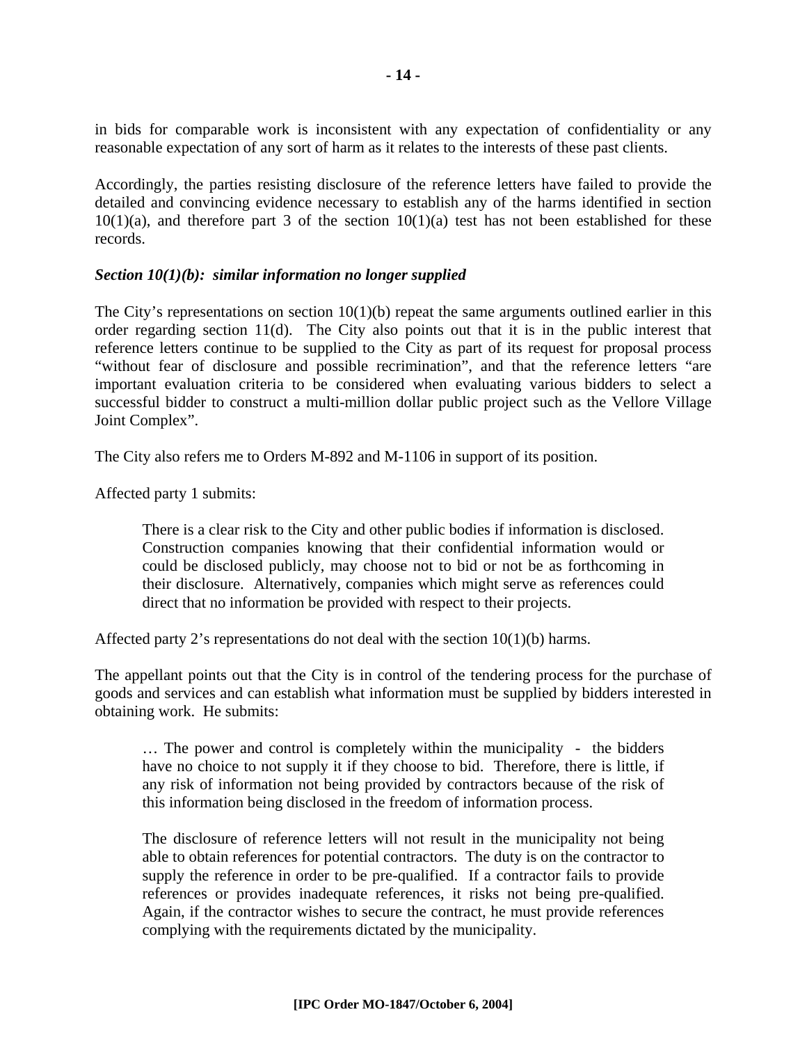in bids for comparable work is inconsistent with any expectation of confidentiality or any reasonable expectation of any sort of harm as it relates to the interests of these past clients.

Accordingly, the parties resisting disclosure of the reference letters have failed to provide the detailed and convincing evidence necessary to establish any of the harms identified in section  $10(1)(a)$ , and therefore part 3 of the section  $10(1)(a)$  test has not been established for these records.

#### *Section 10(1)(b): similar information no longer supplied*

The City's representations on section  $10(1)(b)$  repeat the same arguments outlined earlier in this order regarding section 11(d). The City also points out that it is in the public interest that reference letters continue to be supplied to the City as part of its request for proposal process "without fear of disclosure and possible recrimination", and that the reference letters "are important evaluation criteria to be considered when evaluating various bidders to select a successful bidder to construct a multi-million dollar public project such as the Vellore Village Joint Complex".

The City also refers me to Orders M-892 and M-1106 in support of its position.

Affected party 1 submits:

There is a clear risk to the City and other public bodies if information is disclosed. Construction companies knowing that their confidential information would or could be disclosed publicly, may choose not to bid or not be as forthcoming in their disclosure. Alternatively, companies which might serve as references could direct that no information be provided with respect to their projects.

Affected party 2's representations do not deal with the section  $10(1)(b)$  harms.

The appellant points out that the City is in control of the tendering process for the purchase of goods and services and can establish what information must be supplied by bidders interested in obtaining work. He submits:

… The power and control is completely within the municipality - the bidders have no choice to not supply it if they choose to bid. Therefore, there is little, if any risk of information not being provided by contractors because of the risk of this information being disclosed in the freedom of information process.

The disclosure of reference letters will not result in the municipality not being able to obtain references for potential contractors. The duty is on the contractor to supply the reference in order to be pre-qualified. If a contractor fails to provide references or provides inadequate references, it risks not being pre-qualified. Again, if the contractor wishes to secure the contract, he must provide references complying with the requirements dictated by the municipality.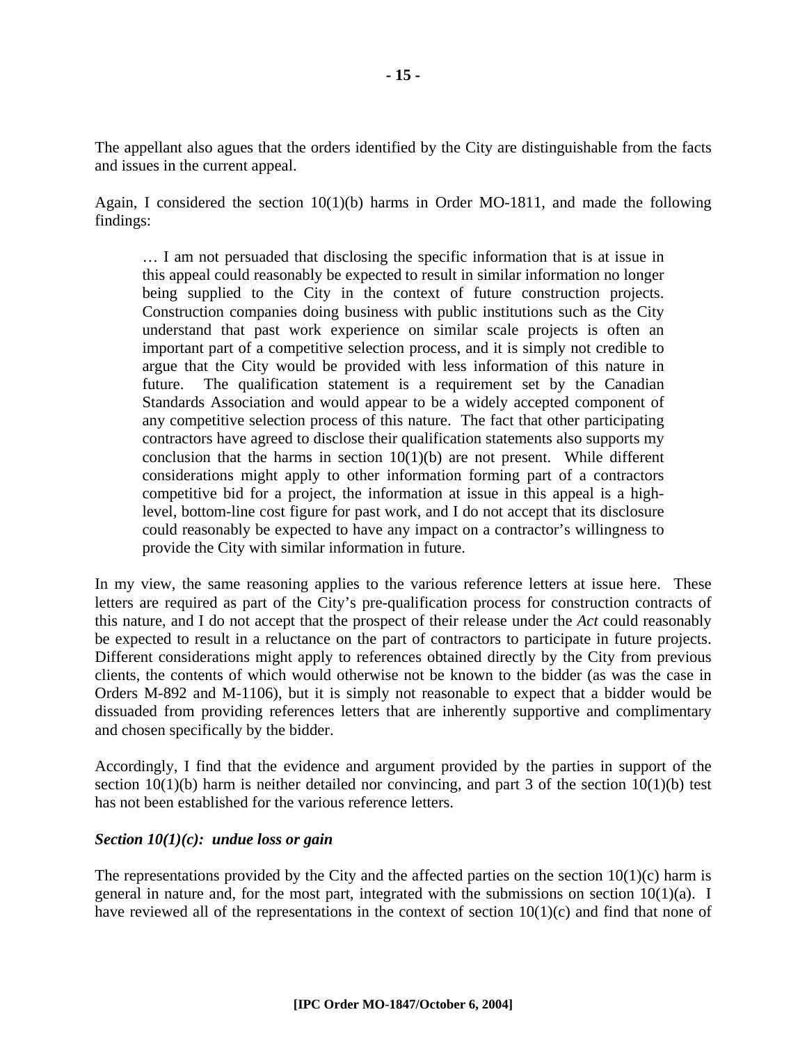The appellant also agues that the orders identified by the City are distinguishable from the facts and issues in the current appeal.

Again, I considered the section  $10(1)(b)$  harms in Order MO-1811, and made the following findings:

… I am not persuaded that disclosing the specific information that is at issue in this appeal could reasonably be expected to result in similar information no longer being supplied to the City in the context of future construction projects. Construction companies doing business with public institutions such as the City understand that past work experience on similar scale projects is often an important part of a competitive selection process, and it is simply not credible to argue that the City would be provided with less information of this nature in future. The qualification statement is a requirement set by the Canadian Standards Association and would appear to be a widely accepted component of any competitive selection process of this nature. The fact that other participating contractors have agreed to disclose their qualification statements also supports my conclusion that the harms in section  $10(1)(b)$  are not present. While different considerations might apply to other information forming part of a contractors competitive bid for a project, the information at issue in this appeal is a highlevel, bottom-line cost figure for past work, and I do not accept that its disclosure could reasonably be expected to have any impact on a contractor's willingness to provide the City with similar information in future.

In my view, the same reasoning applies to the various reference letters at issue here. These letters are required as part of the City's pre-qualification process for construction contracts of this nature, and I do not accept that the prospect of their release under the *Act* could reasonably be expected to result in a reluctance on the part of contractors to participate in future projects. Different considerations might apply to references obtained directly by the City from previous clients, the contents of which would otherwise not be known to the bidder (as was the case in Orders M-892 and M-1106), but it is simply not reasonable to expect that a bidder would be dissuaded from providing references letters that are inherently supportive and complimentary and chosen specifically by the bidder.

Accordingly, I find that the evidence and argument provided by the parties in support of the section 10(1)(b) harm is neither detailed nor convincing, and part 3 of the section 10(1)(b) test has not been established for the various reference letters.

#### *Section 10(1)(c): undue loss or gain*

The representations provided by the City and the affected parties on the section  $10(1)(c)$  harm is general in nature and, for the most part, integrated with the submissions on section 10(1)(a). I have reviewed all of the representations in the context of section 10(1)(c) and find that none of